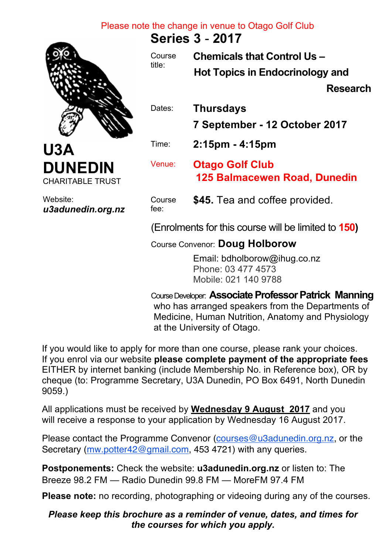# Please note the change in venue to Otago Golf Club

**Series 3** - **2017** 

title:

fee:



Course **Chemicals that Control Us – Hot Topics in Endocrinology and Research** 

Dates: **Thursdays 7 September - 12 October 2017** Time: **2:15pm - 4:15pm** Venue: **Otago Golf Club 125 Balmacewen Road, Dunedin**

Website: *u3adunedin.org.nz*

**DUNEDIN**

CHARITABLE TRUST

Course **\$45.** Tea and coffee provided.

(Enrolments for this course will be limited to **150)**

Course Convenor: **Doug Holborow**

Email: bdholborow@ihug.co.nz Phone: 03 477 4573 Mobile: 021 140 9788

Course Developer: **Associate Professor Patrick Manning**  who has arranged speakers from the Departments of Medicine, Human Nutrition, Anatomy and Physiology at the University of Otago.

If you would like to apply for more than one course, please rank your choices. If you enrol via our website **please complete payment of the appropriate fees** EITHER by internet banking (include Membership No. in Reference box), OR by cheque (to: Programme Secretary, U3A Dunedin, PO Box 6491, North Dunedin 9059.)

All applications must be received by **Wednesday 9 August 2017** and you will receive a response to your application by Wednesday 16 August 2017.

Please contact the Programme Convenor (courses@u3adunedin.org.nz, or the Secretary (mw.potter42@gmail.com, 453 4721) with any queries.

**Postponements:** Check the website: **u3adunedin.org.nz** or listen to: The Breeze 98.2 FM — Radio Dunedin 99.8 FM — MoreFM 97.4 FM

**Please note:** no recording, photographing or videoing during any of the courses.

*Please keep this brochure as a reminder of venue, dates, and times for the courses for which you apply.*